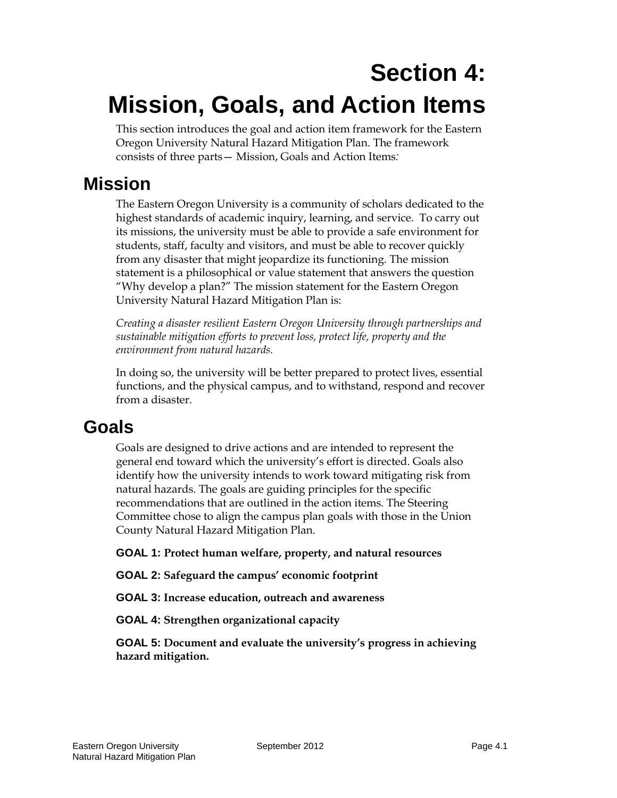# **Section 4: Mission, Goals, and Action Items**

This section introduces the goal and action item framework for the Eastern Oregon University Natural Hazard Mitigation Plan. The framework consists of three parts— Mission, Goals and Action Items*:*

# **Mission**

The Eastern Oregon University is a community of scholars dedicated to the highest standards of academic inquiry, learning, and service. To carry out its missions, the university must be able to provide a safe environment for students, staff, faculty and visitors, and must be able to recover quickly from any disaster that might jeopardize its functioning. The mission statement is a philosophical or value statement that answers the question "Why develop a plan?" The mission statement for the Eastern Oregon University Natural Hazard Mitigation Plan is:

*Creating a disaster resilient Eastern Oregon University through partnerships and sustainable mitigation efforts to prevent loss, protect life, property and the environment from natural hazards.* 

In doing so, the university will be better prepared to protect lives, essential functions, and the physical campus, and to withstand, respond and recover from a disaster.

# **Goals**

Goals are designed to drive actions and are intended to represent the general end toward which the university's effort is directed. Goals also identify how the university intends to work toward mitigating risk from natural hazards. The goals are guiding principles for the specific recommendations that are outlined in the action items. The Steering Committee chose to align the campus plan goals with those in the Union County Natural Hazard Mitigation Plan.

**GOAL 1: Protect human welfare, property, and natural resources**

**GOAL 2: Safeguard the campus' economic footprint**

**GOAL 3: Increase education, outreach and awareness**

**GOAL 4: Strengthen organizational capacity**

**GOAL 5: Document and evaluate the university's progress in achieving hazard mitigation.**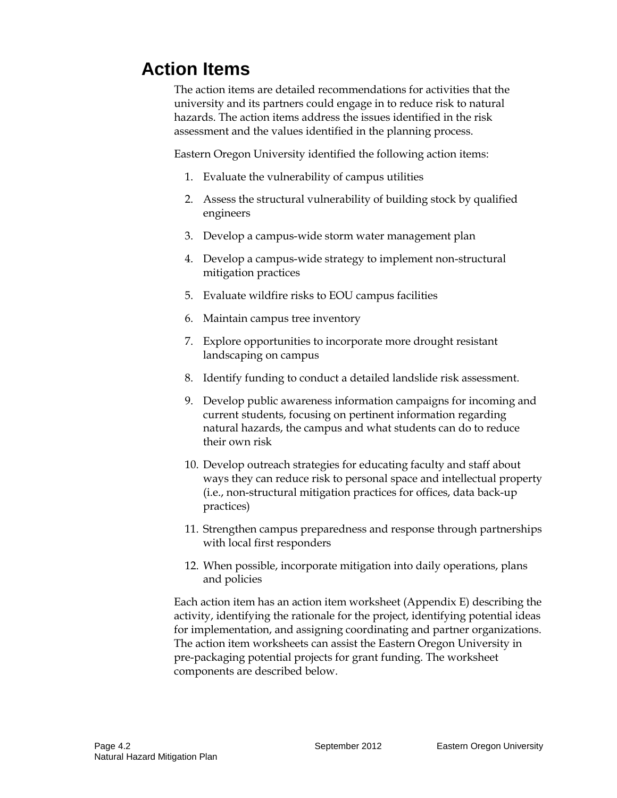# **Action Items**

The action items are detailed recommendations for activities that the university and its partners could engage in to reduce risk to natural hazards. The action items address the issues identified in the risk assessment and the values identified in the planning process.

Eastern Oregon University identified the following action items:

- 1. Evaluate the vulnerability of campus utilities
- 2. Assess the structural vulnerability of building stock by qualified engineers
- 3. Develop a campus-wide storm water management plan
- 4. Develop a campus-wide strategy to implement non-structural mitigation practices
- 5. Evaluate wildfire risks to EOU campus facilities
- 6. Maintain campus tree inventory
- 7. Explore opportunities to incorporate more drought resistant landscaping on campus
- 8. Identify funding to conduct a detailed landslide risk assessment.
- 9. Develop public awareness information campaigns for incoming and current students, focusing on pertinent information regarding natural hazards, the campus and what students can do to reduce their own risk
- 10. Develop outreach strategies for educating faculty and staff about ways they can reduce risk to personal space and intellectual property (i.e., non-structural mitigation practices for offices, data back-up practices)
- 11. Strengthen campus preparedness and response through partnerships with local first responders
- 12. When possible, incorporate mitigation into daily operations, plans and policies

Each action item has an action item worksheet (Appendix E) describing the activity, identifying the rationale for the project, identifying potential ideas for implementation, and assigning coordinating and partner organizations. The action item worksheets can assist the Eastern Oregon University in pre-packaging potential projects for grant funding. The worksheet components are described below.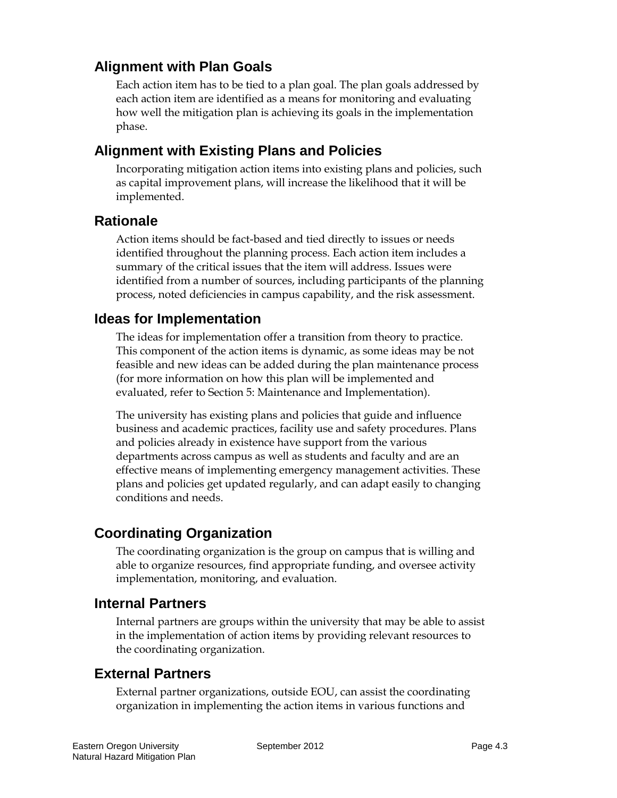## **Alignment with Plan Goals**

Each action item has to be tied to a plan goal. The plan goals addressed by each action item are identified as a means for monitoring and evaluating how well the mitigation plan is achieving its goals in the implementation phase.

### **Alignment with Existing Plans and Policies**

Incorporating mitigation action items into existing plans and policies, such as capital improvement plans, will increase the likelihood that it will be implemented.

#### **Rationale**

Action items should be fact-based and tied directly to issues or needs identified throughout the planning process. Each action item includes a summary of the critical issues that the item will address. Issues were identified from a number of sources, including participants of the planning process, noted deficiencies in campus capability, and the risk assessment.

#### **Ideas for Implementation**

The ideas for implementation offer a transition from theory to practice. This component of the action items is dynamic, as some ideas may be not feasible and new ideas can be added during the plan maintenance process (for more information on how this plan will be implemented and evaluated, refer to Section 5: Maintenance and Implementation).

The university has existing plans and policies that guide and influence business and academic practices, facility use and safety procedures. Plans and policies already in existence have support from the various departments across campus as well as students and faculty and are an effective means of implementing emergency management activities. These plans and policies get updated regularly, and can adapt easily to changing conditions and needs.

## **Coordinating Organization**

The coordinating organization is the group on campus that is willing and able to organize resources, find appropriate funding, and oversee activity implementation, monitoring, and evaluation.

#### **Internal Partners**

Internal partners are groups within the university that may be able to assist in the implementation of action items by providing relevant resources to the coordinating organization.

#### **External Partners**

External partner organizations, outside EOU, can assist the coordinating organization in implementing the action items in various functions and